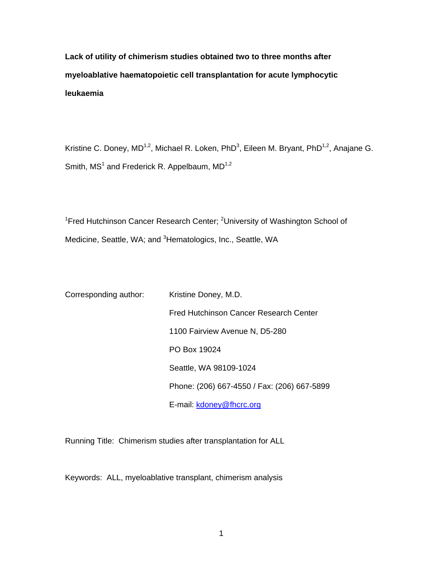**Lack of utility of chimerism studies obtained two to three months after myeloablative haematopoietic cell transplantation for acute lymphocytic leukaemia** 

Kristine C. Doney, MD<sup>1,2</sup>, Michael R. Loken, PhD<sup>3</sup>, Eileen M. Bryant, PhD<sup>1,2</sup>, Anajane G. Smith,  $MS<sup>1</sup>$  and Frederick R. Appelbaum,  $MD<sup>1,2</sup>$ 

<sup>1</sup>Fred Hutchinson Cancer Research Center; <sup>2</sup>University of Washington School of Medicine, Seattle, WA; and <sup>3</sup>Hematologics, Inc., Seattle, WA

| Corresponding author: | Kristine Doney, M.D.                        |
|-----------------------|---------------------------------------------|
|                       | Fred Hutchinson Cancer Research Center      |
|                       | 1100 Fairview Avenue N, D5-280              |
|                       | PO Box 19024                                |
|                       | Seattle, WA 98109-1024                      |
|                       | Phone: (206) 667-4550 / Fax: (206) 667-5899 |
|                       | E-mail: kdoney@fhcrc.org                    |

Running Title: Chimerism studies after transplantation for ALL

Keywords: ALL, myeloablative transplant, chimerism analysis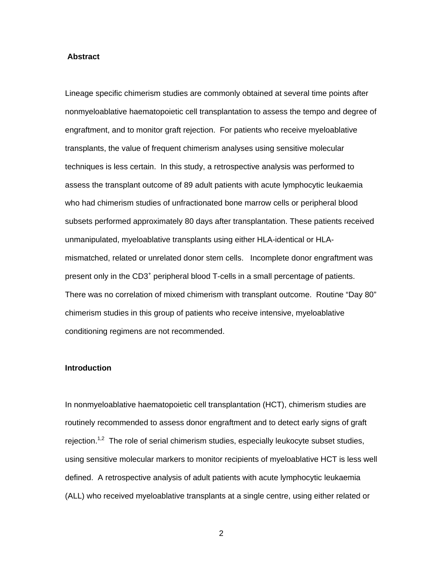#### **Abstract**

Lineage specific chimerism studies are commonly obtained at several time points after nonmyeloablative haematopoietic cell transplantation to assess the tempo and degree of engraftment, and to monitor graft rejection. For patients who receive myeloablative transplants, the value of frequent chimerism analyses using sensitive molecular techniques is less certain. In this study, a retrospective analysis was performed to assess the transplant outcome of 89 adult patients with acute lymphocytic leukaemia who had chimerism studies of unfractionated bone marrow cells or peripheral blood subsets performed approximately 80 days after transplantation. These patients received unmanipulated, myeloablative transplants using either HLA-identical or HLAmismatched, related or unrelated donor stem cells. Incomplete donor engraftment was present only in the CD3<sup>+</sup> peripheral blood T-cells in a small percentage of patients. There was no correlation of mixed chimerism with transplant outcome. Routine "Day 80" chimerism studies in this group of patients who receive intensive, myeloablative conditioning regimens are not recommended.

#### **Introduction**

In nonmyeloablative haematopoietic cell transplantation (HCT), chimerism studies are routinely recommended to assess donor engraftment and to detect early signs of graft rejection.<sup>1,2</sup> The role of serial chimerism studies, especially leukocyte subset studies, using sensitive molecular markers to monitor recipients of myeloablative HCT is less well defined. A retrospective analysis of adult patients with acute lymphocytic leukaemia (ALL) who received myeloablative transplants at a single centre, using either related or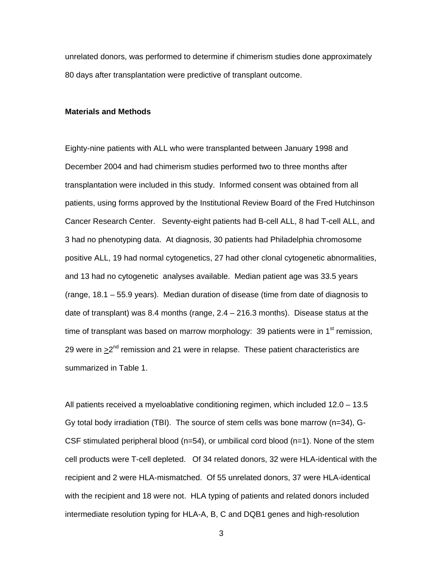unrelated donors, was performed to determine if chimerism studies done approximately 80 days after transplantation were predictive of transplant outcome.

## **Materials and Methods**

Eighty-nine patients with ALL who were transplanted between January 1998 and December 2004 and had chimerism studies performed two to three months after transplantation were included in this study. Informed consent was obtained from all patients, using forms approved by the Institutional Review Board of the Fred Hutchinson Cancer Research Center. Seventy-eight patients had B-cell ALL, 8 had T-cell ALL, and 3 had no phenotyping data. At diagnosis, 30 patients had Philadelphia chromosome positive ALL, 19 had normal cytogenetics, 27 had other clonal cytogenetic abnormalities, and 13 had no cytogenetic analyses available. Median patient age was 33.5 years (range, 18.1 – 55.9 years). Median duration of disease (time from date of diagnosis to date of transplant) was 8.4 months (range,  $2.4 - 216.3$  months). Disease status at the time of transplant was based on marrow morphology: 39 patients were in 1<sup>st</sup> remission, 29 were in  $\geq 2^{nd}$  remission and 21 were in relapse. These patient characteristics are summarized in Table 1.

All patients received a myeloablative conditioning regimen, which included 12.0 – 13.5 Gy total body irradiation (TBI). The source of stem cells was bone marrow (n=34), G-CSF stimulated peripheral blood ( $n=54$ ), or umbilical cord blood ( $n=1$ ). None of the stem cell products were T-cell depleted. Of 34 related donors, 32 were HLA-identical with the recipient and 2 were HLA-mismatched. Of 55 unrelated donors, 37 were HLA-identical with the recipient and 18 were not. HLA typing of patients and related donors included intermediate resolution typing for HLA-A, B, C and DQB1 genes and high-resolution

 $\sim$  3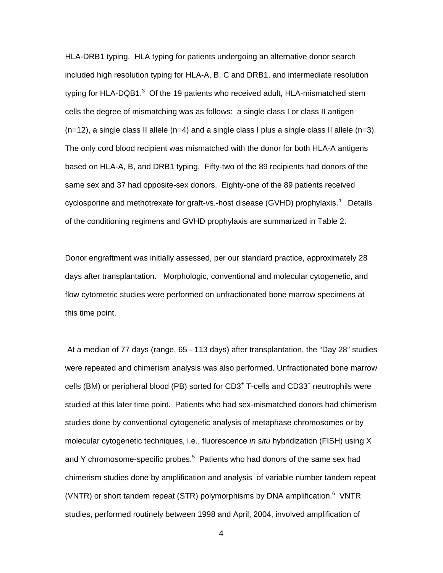HLA-DRB1 typing. HLA typing for patients undergoing an alternative donor search included high resolution typing for HLA-A, B, C and DRB1, and intermediate resolution typing for HLA-DQB1. $^3$  Of the 19 patients who received adult, HLA-mismatched stem cells the degree of mismatching was as follows: a single class I or class II antigen  $(n=12)$ , a single class II allele (n=4) and a single class I plus a single class II allele (n=3). The only cord blood recipient was mismatched with the donor for both HLA-A antigens based on HLA-A, B, and DRB1 typing. Fifty-two of the 89 recipients had donors of the same sex and 37 had opposite-sex donors. Eighty-one of the 89 patients received cyclosporine and methotrexate for graft-vs.-host disease (GVHD) prophylaxis.<sup>4</sup> Details of the conditioning regimens and GVHD prophylaxis are summarized in Table 2.

Donor engraftment was initially assessed, per our standard practice, approximately 28 days after transplantation. Morphologic, conventional and molecular cytogenetic, and flow cytometric studies were performed on unfractionated bone marrow specimens at this time point.

 At a median of 77 days (range, 65 - 113 days) after transplantation, the "Day 28" studies were repeated and chimerism analysis was also performed. Unfractionated bone marrow cells (BM) or peripheral blood (PB) sorted for CD3<sup>+</sup> T-cells and CD33<sup>+</sup> neutrophils were studied at this later time point. Patients who had sex-mismatched donors had chimerism studies done by conventional cytogenetic analysis of metaphase chromosomes or by molecular cytogenetic techniques, i.e., fluorescence *in situ* hybridization (FISH) using X and Y chromosome-specific probes.<sup>5</sup> Patients who had donors of the same sex had chimerism studies done by amplification and analysis of variable number tandem repeat (VNTR) or short tandem repeat (STR) polymorphisms by DNA amplification. $6$  VNTR studies, performed routinely between 1998 and April, 2004, involved amplification of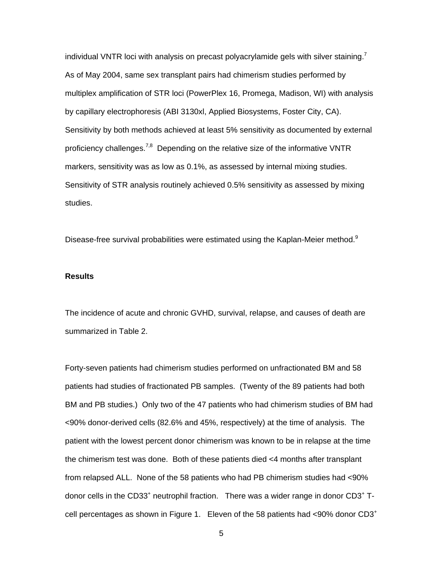individual VNTR loci with analysis on precast polyacrylamide gels with silver staining.<sup>7</sup> As of May 2004, same sex transplant pairs had chimerism studies performed by multiplex amplification of STR loci (PowerPlex 16, Promega, Madison, WI) with analysis by capillary electrophoresis (ABI 3130xl, Applied Biosystems, Foster City, CA). Sensitivity by both methods achieved at least 5% sensitivity as documented by external proficiency challenges.<sup>7,8</sup> Depending on the relative size of the informative VNTR markers, sensitivity was as low as 0.1%, as assessed by internal mixing studies. Sensitivity of STR analysis routinely achieved 0.5% sensitivity as assessed by mixing studies.

Disease-free survival probabilities were estimated using the Kaplan-Meier method. $9$ 

### **Results**

The incidence of acute and chronic GVHD, survival, relapse, and causes of death are summarized in Table 2.

Forty-seven patients had chimerism studies performed on unfractionated BM and 58 patients had studies of fractionated PB samples. (Twenty of the 89 patients had both BM and PB studies.) Only two of the 47 patients who had chimerism studies of BM had <90% donor-derived cells (82.6% and 45%, respectively) at the time of analysis. The patient with the lowest percent donor chimerism was known to be in relapse at the time the chimerism test was done. Both of these patients died <4 months after transplant from relapsed ALL. None of the 58 patients who had PB chimerism studies had <90% donor cells in the CD33<sup>+</sup> neutrophil fraction. There was a wider range in donor CD3<sup>+</sup> Tcell percentages as shown in Figure 1. Eleven of the 58 patients had  $<90\%$  donor CD3<sup>+</sup>

 $\sim$  5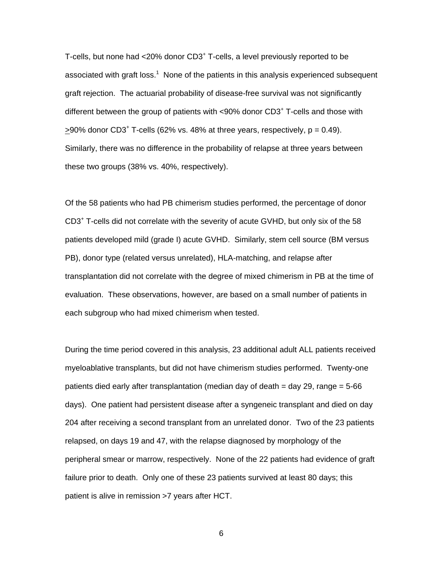T-cells, but none had <20% donor CD3<sup>+</sup> T-cells, a level previously reported to be associated with graft loss.<sup>1</sup> None of the patients in this analysis experienced subsequent graft rejection. The actuarial probability of disease-free survival was not significantly different between the group of patients with <90% donor CD3<sup>+</sup> T-cells and those with  $\geq$ 90% donor CD3<sup>+</sup> T-cells (62% vs. 48% at three years, respectively,  $p = 0.49$ ). Similarly, there was no difference in the probability of relapse at three years between these two groups (38% vs. 40%, respectively).

Of the 58 patients who had PB chimerism studies performed, the percentage of donor CD3<sup>+</sup> T-cells did not correlate with the severity of acute GVHD, but only six of the 58 patients developed mild (grade I) acute GVHD. Similarly, stem cell source (BM versus PB), donor type (related versus unrelated), HLA-matching, and relapse after transplantation did not correlate with the degree of mixed chimerism in PB at the time of evaluation. These observations, however, are based on a small number of patients in each subgroup who had mixed chimerism when tested.

During the time period covered in this analysis, 23 additional adult ALL patients received myeloablative transplants, but did not have chimerism studies performed. Twenty-one patients died early after transplantation (median day of death = day 29, range = 5-66 days). One patient had persistent disease after a syngeneic transplant and died on day 204 after receiving a second transplant from an unrelated donor. Two of the 23 patients relapsed, on days 19 and 47, with the relapse diagnosed by morphology of the peripheral smear or marrow, respectively. None of the 22 patients had evidence of graft failure prior to death. Only one of these 23 patients survived at least 80 days; this patient is alive in remission >7 years after HCT.

 $\sim$  6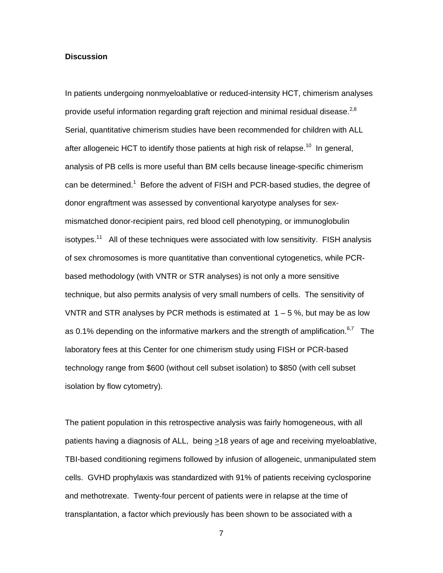#### **Discussion**

In patients undergoing nonmyeloablative or reduced-intensity HCT, chimerism analyses provide useful information regarding graft rejection and minimal residual disease.<sup>2,8</sup> Serial, quantitative chimerism studies have been recommended for children with ALL after allogeneic HCT to identify those patients at high risk of relapse.<sup>10</sup> In general, analysis of PB cells is more useful than BM cells because lineage-specific chimerism can be determined.<sup>1</sup> Before the advent of FISH and PCR-based studies, the degree of donor engraftment was assessed by conventional karyotype analyses for sexmismatched donor-recipient pairs, red blood cell phenotyping, or immunoglobulin isotypes.<sup>11</sup> All of these techniques were associated with low sensitivity. FISH analysis of sex chromosomes is more quantitative than conventional cytogenetics, while PCRbased methodology (with VNTR or STR analyses) is not only a more sensitive technique, but also permits analysis of very small numbers of cells. The sensitivity of VNTR and STR analyses by PCR methods is estimated at  $1 - 5$ %, but may be as low as 0.1% depending on the informative markers and the strength of amplification.<sup>6,7</sup> The laboratory fees at this Center for one chimerism study using FISH or PCR-based technology range from \$600 (without cell subset isolation) to \$850 (with cell subset isolation by flow cytometry).

The patient population in this retrospective analysis was fairly homogeneous, with all patients having a diagnosis of ALL, being >18 years of age and receiving myeloablative, TBI-based conditioning regimens followed by infusion of allogeneic, unmanipulated stem cells. GVHD prophylaxis was standardized with 91% of patients receiving cyclosporine and methotrexate. Twenty-four percent of patients were in relapse at the time of transplantation, a factor which previously has been shown to be associated with a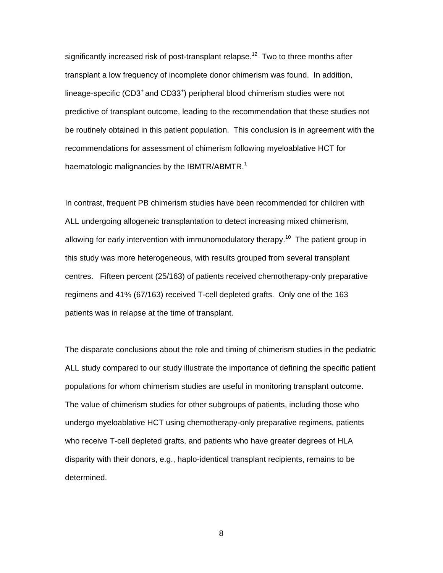significantly increased risk of post-transplant relapse.<sup>12</sup> Two to three months after transplant a low frequency of incomplete donor chimerism was found. In addition, lineage-specific (CD3<sup>+</sup> and CD33<sup>+</sup>) peripheral blood chimerism studies were not predictive of transplant outcome, leading to the recommendation that these studies not be routinely obtained in this patient population. This conclusion is in agreement with the recommendations for assessment of chimerism following myeloablative HCT for haematologic malignancies by the IBMTR/ABMTR.<sup>1</sup>

In contrast, frequent PB chimerism studies have been recommended for children with ALL undergoing allogeneic transplantation to detect increasing mixed chimerism, allowing for early intervention with immunomodulatory therapy.<sup>10</sup> The patient group in this study was more heterogeneous, with results grouped from several transplant centres. Fifteen percent (25/163) of patients received chemotherapy-only preparative regimens and 41% (67/163) received T-cell depleted grafts. Only one of the 163 patients was in relapse at the time of transplant.

The disparate conclusions about the role and timing of chimerism studies in the pediatric ALL study compared to our study illustrate the importance of defining the specific patient populations for whom chimerism studies are useful in monitoring transplant outcome. The value of chimerism studies for other subgroups of patients, including those who undergo myeloablative HCT using chemotherapy-only preparative regimens, patients who receive T-cell depleted grafts, and patients who have greater degrees of HLA disparity with their donors, e.g., haplo-identical transplant recipients, remains to be determined.

entities and the state of the state of the state of the state of the state of the state of the state of the st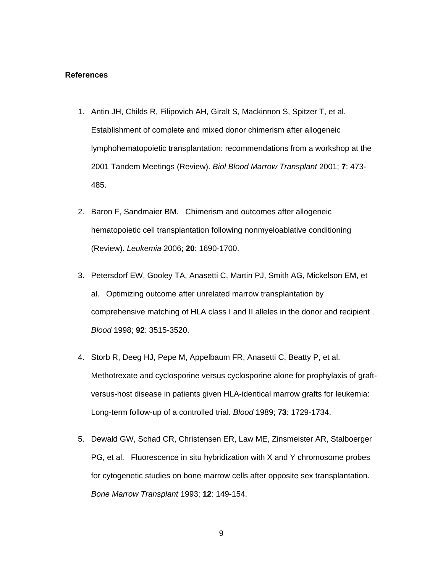#### **References**

- 1. Antin JH, Childs R, Filipovich AH, Giralt S, Mackinnon S, Spitzer T, et al. Establishment of complete and mixed donor chimerism after allogeneic lymphohematopoietic transplantation: recommendations from a workshop at the 2001 Tandem Meetings (Review). *Biol Blood Marrow Transplant* 2001; **7**: 473- 485.
- 2. Baron F, Sandmaier BM. Chimerism and outcomes after allogeneic hematopoietic cell transplantation following nonmyeloablative conditioning (Review). *Leukemia* 2006; **20**: 1690-1700.
- 3. Petersdorf EW, Gooley TA, Anasetti C, Martin PJ, Smith AG, Mickelson EM, et al. Optimizing outcome after unrelated marrow transplantation by comprehensive matching of HLA class I and II alleles in the donor and recipient . *Blood* 1998; **92**: 3515-3520.
- 4. Storb R, Deeg HJ, Pepe M, Appelbaum FR, Anasetti C, Beatty P, et al. Methotrexate and cyclosporine versus cyclosporine alone for prophylaxis of graftversus-host disease in patients given HLA-identical marrow grafts for leukemia: Long-term follow-up of a controlled trial. *Blood* 1989; **73**: 1729-1734.
- 5. Dewald GW, Schad CR, Christensen ER, Law ME, Zinsmeister AR, Stalboerger PG, et al. Fluorescence in situ hybridization with X and Y chromosome probes for cytogenetic studies on bone marrow cells after opposite sex transplantation. *Bone Marrow Transplant* 1993; **12**: 149-154.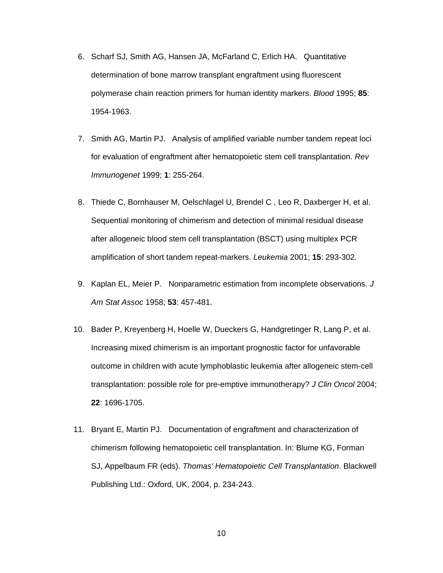- 6. Scharf SJ, Smith AG, Hansen JA, McFarland C, Erlich HA. Quantitative determination of bone marrow transplant engraftment using fluorescent polymerase chain reaction primers for human identity markers. *Blood* 1995; **85**: 1954-1963.
- 7. Smith AG, Martin PJ. Analysis of amplified variable number tandem repeat loci for evaluation of engraftment after hematopoietic stem cell transplantation. *Rev Immunogenet* 1999; **1**: 255-264.
- 8. Thiede C, Bornhauser M, Oelschlagel U, Brendel C , Leo R, Daxberger H, et al. Sequential monitoring of chimerism and detection of minimal residual disease after allogeneic blood stem cell transplantation (BSCT) using multiplex PCR amplification of short tandem repeat-markers. *Leukemia* 2001; **15**: 293-302.
- 9. Kaplan EL, Meier P. Nonparametric estimation from incomplete observations. *J Am Stat Assoc* 1958; **53**: 457-481.
- 10. Bader P, Kreyenberg H, Hoelle W, Dueckers G, Handgretinger R, Lang P, et al. Increasing mixed chimerism is an important prognostic factor for unfavorable outcome in children with acute lymphoblastic leukemia after allogeneic stem-cell transplantation: possible role for pre-emptive immunotherapy? *J Clin Oncol* 2004; **22**: 1696-1705.
- 11. Bryant E, Martin PJ. Documentation of engraftment and characterization of chimerism following hematopoietic cell transplantation. In: Blume KG, Forman SJ, Appelbaum FR (eds). *Thomas' Hematopoietic Cell Transplantation*. Blackwell Publishing Ltd.: Oxford, UK, 2004, p. 234-243.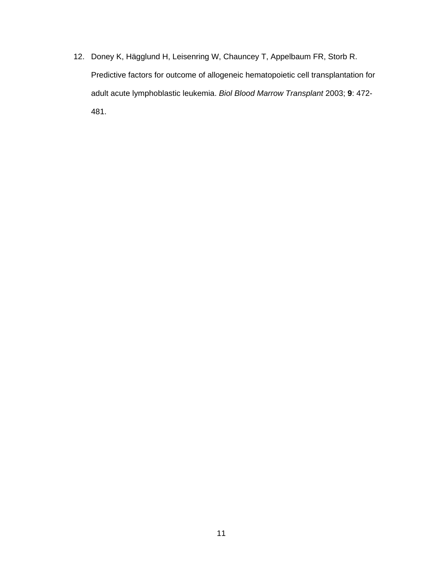12. Doney K, Hägglund H, Leisenring W, Chauncey T, Appelbaum FR, Storb R. Predictive factors for outcome of allogeneic hematopoietic cell transplantation for adult acute lymphoblastic leukemia. *Biol Blood Marrow Transplant* 2003; **9**: 472- 481.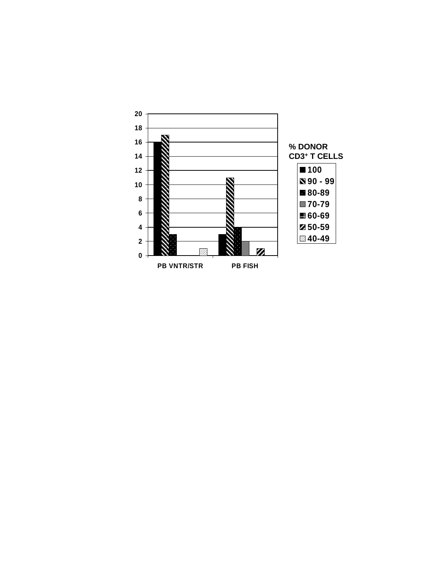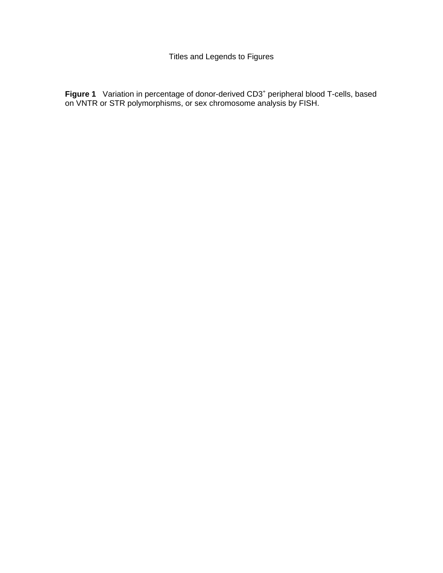Figure 1 Variation in percentage of donor-derived CD3<sup>+</sup> peripheral blood T-cells, based on VNTR or STR polymorphisms, or sex chromosome analysis by FISH.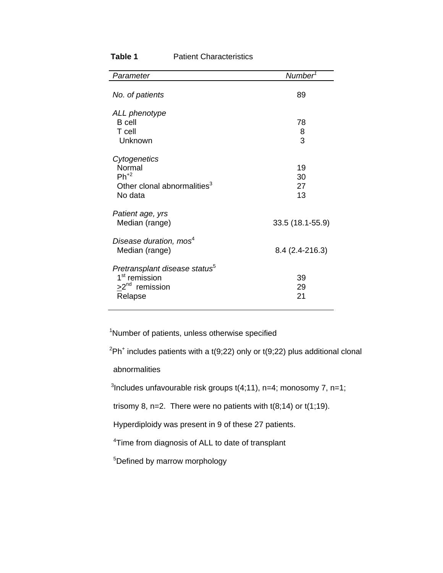| Parameter                                                                                                    | Number <sup>1</sup>  |
|--------------------------------------------------------------------------------------------------------------|----------------------|
| No. of patients                                                                                              | 89                   |
| ALL phenotype<br><b>B</b> cell<br>T cell<br>Unknown                                                          | 78<br>8<br>3         |
| Cytogenetics<br>Normal<br>$Ph^{+2}$<br>Other clonal abnormalities <sup>3</sup><br>No data                    | 19<br>30<br>27<br>13 |
| Patient age, yrs<br>Median (range)                                                                           | 33.5 (18.1-55.9)     |
| Disease duration, mos <sup>4</sup><br>Median (range)                                                         | $8.4(2.4-216.3)$     |
| Pretransplant disease status <sup>5</sup><br>1 <sup>st</sup> remission<br>$\geq 2^{nd}$ remission<br>Relapse | 39<br>29<br>21       |

# **Table 1** Patient Characteristics

<sup>1</sup>Number of patients, unless otherwise specified

 $2Ph<sup>+</sup>$  includes patients with a t(9;22) only or t(9;22) plus additional clonal

abnormalities

 <sup>3</sup> <sup>3</sup>Includes unfavourable risk groups  $t(4;11)$ , n=4; monosomy 7, n=1;

trisomy 8, n=2. There were no patients with  $t(8;14)$  or  $t(1;19)$ .

Hyperdiploidy was present in 9 of these 27 patients.

<sup>4</sup>Time from diagnosis of ALL to date of transplant

<sup>5</sup>Defined by marrow morphology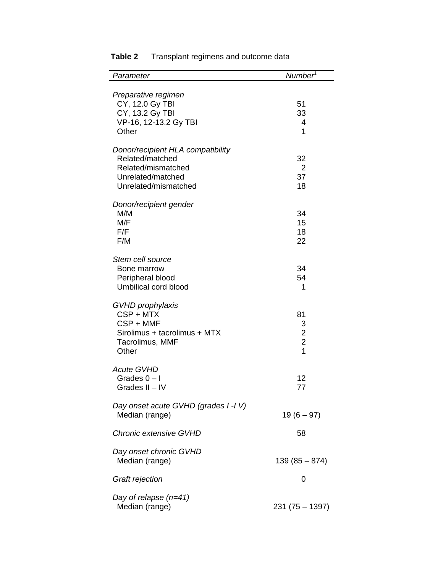| Parameter                                                                                                               | Number <sup>7</sup>                                           |
|-------------------------------------------------------------------------------------------------------------------------|---------------------------------------------------------------|
| Preparative regimen<br>CY, 12.0 Gy TBI                                                                                  | 51                                                            |
| CY, 13.2 Gy TBI<br>VP-16, 12-13.2 Gy TBI<br>Other                                                                       | 33<br>4<br>1                                                  |
| Donor/recipient HLA compatibility<br>Related/matched<br>Related/mismatched<br>Unrelated/matched<br>Unrelated/mismatched | 32<br>2<br>37<br>18                                           |
| Donor/recipient gender<br>M/M<br>M/F<br>F/F<br>F/M                                                                      | 34<br>15<br>18<br>22                                          |
| Stem cell source<br>Bone marrow<br>Peripheral blood<br>Umbilical cord blood                                             | 34<br>54<br>1                                                 |
| GVHD prophylaxis<br>CSP + MTX<br>CSP + MMF<br>Sirolimus + tacrolimus + MTX<br>Tacrolimus, MMF<br>Other                  | 81<br>3<br>$\overline{c}$<br>$\overline{2}$<br>$\overline{1}$ |
| <b>Acute GVHD</b><br>Grades $0 - I$<br>Grades II - IV                                                                   | 12<br>77                                                      |
| Day onset acute GVHD (grades I-IV)<br>Median (range)                                                                    | $19(6 - 97)$                                                  |
| Chronic extensive GVHD                                                                                                  | 58                                                            |
| Day onset chronic GVHD<br>Median (range)                                                                                | $139(85 - 874)$                                               |
| Graft rejection                                                                                                         | 0                                                             |
| Day of relapse $(n=41)$<br>Median (range)                                                                               | $231(75 - 1397)$                                              |

# **Table 2** Transplant regimens and outcome data